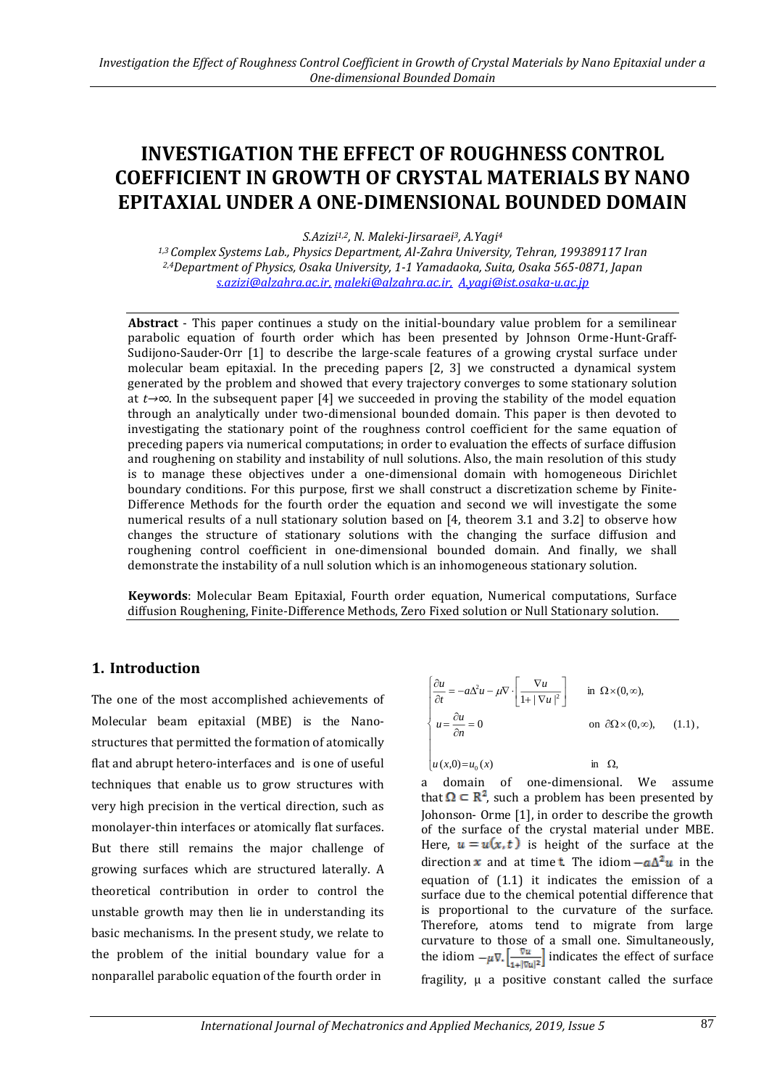# **INVESTIGATION THE EFFECT OF ROUGHNESS CONTROL COEFFICIENT IN GROWTH OF CRYSTAL MATERIALS BY NANO EPITAXIAL UNDER A ONE-DIMENSIONAL BOUNDED DOMAIN**

*S.Azizi1,2, N. Maleki-Jirsaraei3, A.Yagi<sup>4</sup>*

*1,3 Complex Systems Lab., Physics Department, Al-Zahra University, Tehran, 199389117 Iran 2,4Department of Physics, Osaka University, 1-1 Yamadaoka, Suita, Osaka 565-0871, Japan [s.azizi@alzahra.ac.ir,](mailto:s.azizi@alzahra.ac.ir) [maleki@alzahra.ac.ir,](mailto:maleki@alzahra.ac.ir) A.yagi@ist.osaka-u.ac.jp*

**Abstract** - This paper continues a study on the initial-boundary value problem for a semilinear parabolic equation of fourth order which has been presented by Johnson Orme-Hunt-Graff-Sudijono-Sauder-Orr [1] to describe the large-scale features of a growing crystal surface under molecular beam epitaxial. In the preceding papers [2, 3] we constructed a dynamical system generated by the problem and showed that every trajectory converges to some stationary solution at *t→∞*. In the subsequent paper [4] we succeeded in proving the stability of the model equation through an analytically under two-dimensional bounded domain. This paper is then devoted to investigating the stationary point of the roughness control coefficient for the same equation of preceding papers via numerical computations; in order to evaluation the effects of surface diffusion and roughening on stability and instability of null solutions. Also, the main resolution of this study is to manage these objectives under a one-dimensional domain with homogeneous Dirichlet boundary conditions. For this purpose, first we shall construct a discretization scheme by Finite-Difference Methods for the fourth order the equation and second we will investigate the some numerical results of a null stationary solution based on [4, theorem 3.1 and 3.2] to observe how changes the structure of stationary solutions with the changing the surface diffusion and roughening control coefficient in one-dimensional bounded domain. And finally, we shall demonstrate the instability of a null solution which is an inhomogeneous stationary solution.

**Keywords**: Molecular Beam Epitaxial, Fourth order equation, Numerical computations, Surface diffusion Roughening, Finite-Difference Methods, Zero Fixed solution or Null Stationary solution.

### **1. Introduction**

The one of the most accomplished achievements of Molecular beam epitaxial (MBE) is the Nanostructures that permitted the formation of atomically flat and abrupt hetero-interfaces and is one of useful techniques that enable us to grow structures with very high precision in the vertical direction, such as monolayer-thin interfaces or atomically flat surfaces. But there still remains the major challenge of growing surfaces which are structured laterally. A theoretical contribution in order to control the unstable growth may then lie in understanding its basic mechanisms. In the present study, we relate to the problem of the initial boundary value for a nonparallel parabolic equation of the fourth order in

$$
\begin{cases}\n\frac{\partial u}{\partial t} = -a\Delta^2 u - \mu \nabla \cdot \left[ \frac{\nabla u}{1 + |\nabla u|^2} \right] & \text{in } \Omega \times (0, \infty), \\
u = \frac{\partial u}{\partial n} = 0 & \text{on } \partial \Omega \times (0, \infty), \\
u(x, 0) = u_0(x) & \text{in } \Omega,\n\end{cases}
$$
\n(1.1),

a domain of one-dimensional. We assume that  $\Omega \subseteq \mathbb{R}^2$ , such a problem has been presented by Johonson- Orme [1], in order to describe the growth of the surface of the crystal material under MBE. Here,  $u = u(x, t)$  is height of the surface at the direction **x** and at time **t**. The idiom  $-a\Delta^2 u$  in the equation of (1.1) it indicates the emission of a surface due to the chemical potential difference that is proportional to the curvature of the surface. Therefore, atoms tend to migrate from large curvature to those of a small one. Simultaneously, the idiom  $-\mu \nabla \left| \frac{\nabla u}{\nabla u} \right|$  indicates the effect of surface fragility, μ a positive constant called the surface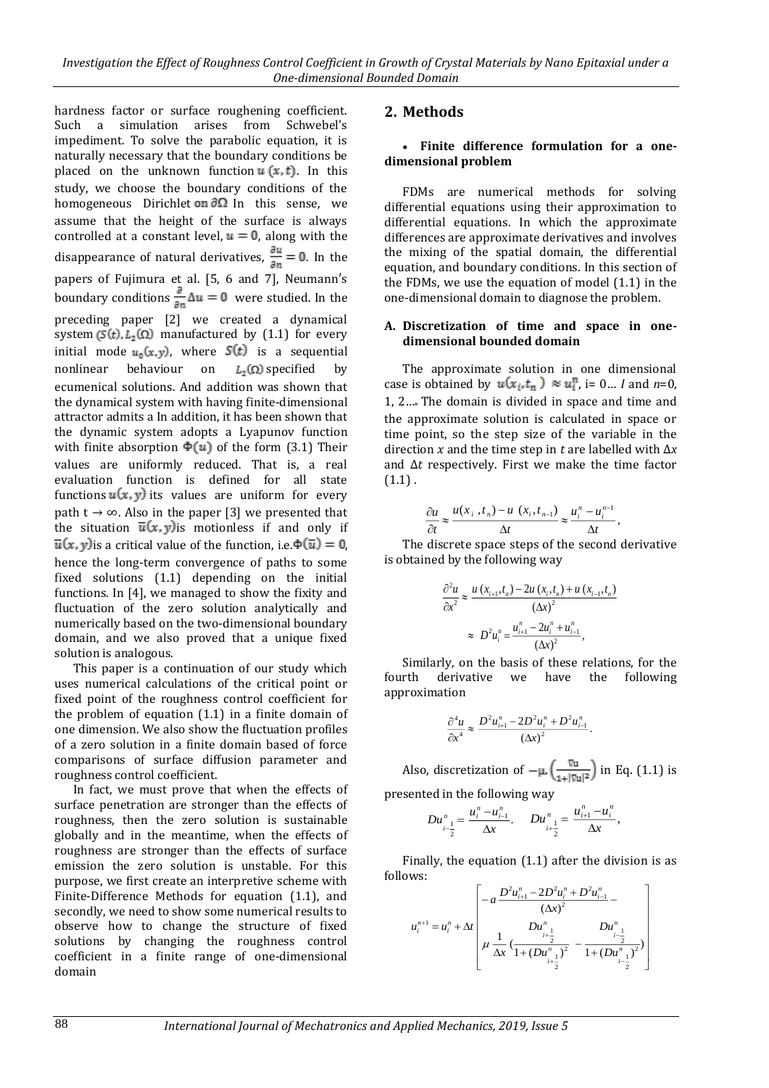hardness factor or surface roughening coefficient. Such a simulation arises from Schwebel's impediment. To solve the parabolic equation, it is naturally necessary that the boundary conditions be placed on the unknown function  $u(x, t)$ . In this study, we choose the boundary conditions of the homogeneous Dirichlet on  $\partial\Omega$  In this sense, we assume that the height of the surface is always controlled at a constant level,  $u = 0$ , along with the disappearance of natural derivatives,  $\frac{\partial u}{\partial n} = 0$ . In the papers of Fujimura et al. [5, 6 and 7], Neumann′s boundary conditions  $\frac{1}{2} \Delta u = 0$  were studied. In the preceding paper [2] we created a dynamical system ( $S(t)$ ,  $L_2(\Omega)$  manufactured by (1.1) for every initial mode  $u_0(x,y)$ , where  $S(t)$  is a sequential nonlinear behaviour on  $L_2(\Omega)$  specified by ecumenical solutions. And addition was shown that the dynamical system with having finite-dimensional attractor admits a In addition, it has been shown that the dynamic system adopts a Lyapunov function with finite absorption  $\Phi(u)$  of the form (3.1) Their values are uniformly reduced. That is, a real evaluation function is defined for all state functions  $u(x, y)$  its values are uniform for every path t  $\rightarrow \infty$ . Also in the paper [3] we presented that the situation  $\overline{u}(x, y)$  is motionless if and only if  $\overline{u}(x, y)$  is a critical value of the function, i.e.  $\Phi(\overline{u}) = 0$ . hence the long-term convergence of paths to some fixed solutions (1.1) depending on the initial functions. In [4], we managed to show the fixity and fluctuation of the zero solution analytically and numerically based on the two-dimensional boundary domain, and we also proved that a unique fixed solution is analogous.

This paper is a continuation of our study which uses numerical calculations of the critical point or fixed point of the roughness control coefficient for the problem of equation (1.1) in a finite domain of one dimension. We also show the fluctuation profiles of a zero solution in a finite domain based of force comparisons of surface diffusion parameter and roughness control coefficient.

In fact, we must prove that when the effects of surface penetration are stronger than the effects of roughness, then the zero solution is sustainable globally and in the meantime, when the effects of roughness are stronger than the effects of surface emission the zero solution is unstable. For this purpose, we first create an interpretive scheme with Finite-Difference Methods for equation (1.1), and secondly, we need to show some numerical results to observe how to change the structure of fixed solutions by changing the roughness control coefficient in a finite range of one-dimensional domain

# **2. Methods**

#### **Finite difference formulation for a onedimensional problem**

FDMs are numerical methods for solving differential equations using their approximation to differential equations. In which the approximate differences are approximate derivatives and involves the mixing of the spatial domain, the differential equation, and boundary conditions. In this section of the FDMs, we use the equation of model (1.1) in the one-dimensional domain to diagnose the problem.

#### **A. Discretization of time and space in onedimensional bounded domain**

The approximate solution in one dimensional case is obtained by  $u(x_i, t_n) \approx u_i^n$ , i= 0... *I* and *n*=0, 1, 2… The domain is divided in space and time and the approximate solution is calculated in space or time point, so the step size of the variable in the direction and the time step in *t* are labelled with Δ*x* and Δ*t* respectively. First we make the time factor  $(1.1)$ .

$$
\frac{\partial u}{\partial t} \approx \frac{u(x_i, t_n) - u(x_i, t_{n-1})}{\Delta t} \approx \frac{u_i^n - u_i^{n-1}}{\Delta t},
$$

The discrete space steps of the second derivative is obtained by the following way

$$
\frac{\partial^2 u}{\partial x^2} \approx \frac{u(x_{i+1}, t_n) - 2u(x_i, t_n) + u(x_{i-1}, t_n)}{(\Delta x)^2}
$$

$$
\approx D^2 u_i^n = \frac{u_{i+1}^n - 2u_i^n + u_{i-1}^n}{(\Delta x)^2},
$$

Similarly, on the basis of these relations, for the fourth derivative we have the following approximation

$$
\frac{\partial^4 u}{\partial x^4} \approx \frac{D^2 u_{i+1}^n - 2D^2 u_i^n + D^2 u_{i-1}^n}{(\Delta x)^2}
$$

Also, discretization of  $-\mu \left(\frac{\nabla u}{1+\vert \nabla u\vert^2}\right)$  in Eq. (1.1) is

presented in the following way

$$
Du_{i-\frac{1}{2}}^n = \frac{u_i^n - u_{i-1}^n}{\Delta x}, \quad Du_{i+\frac{1}{2}}^n = \frac{u_{i+1}^n - u_i^n}{\Delta x},
$$

Finally, the equation (1.1) after the division is as follows:

$$
u_i^{n+1} = u_i^n + \Delta t \left[ -a \frac{D^2 u_{i+1}^n - 2D^2 u_i^n + D^2 u_{i-1}^n}{(\Delta x)^2} - u_i^{n+1} + \Delta t \left( \frac{D u_{i+\frac{1}{2}}^n}{\Delta x} \left( \frac{D u_{i+\frac{1}{2}}^n}{1 + (D u_{i+\frac{1}{2}}^n)^2} - \frac{D u_{i-\frac{1}{2}}^n}{1 + (D u_{i-\frac{1}{2}}^n)^2} \right) \right)
$$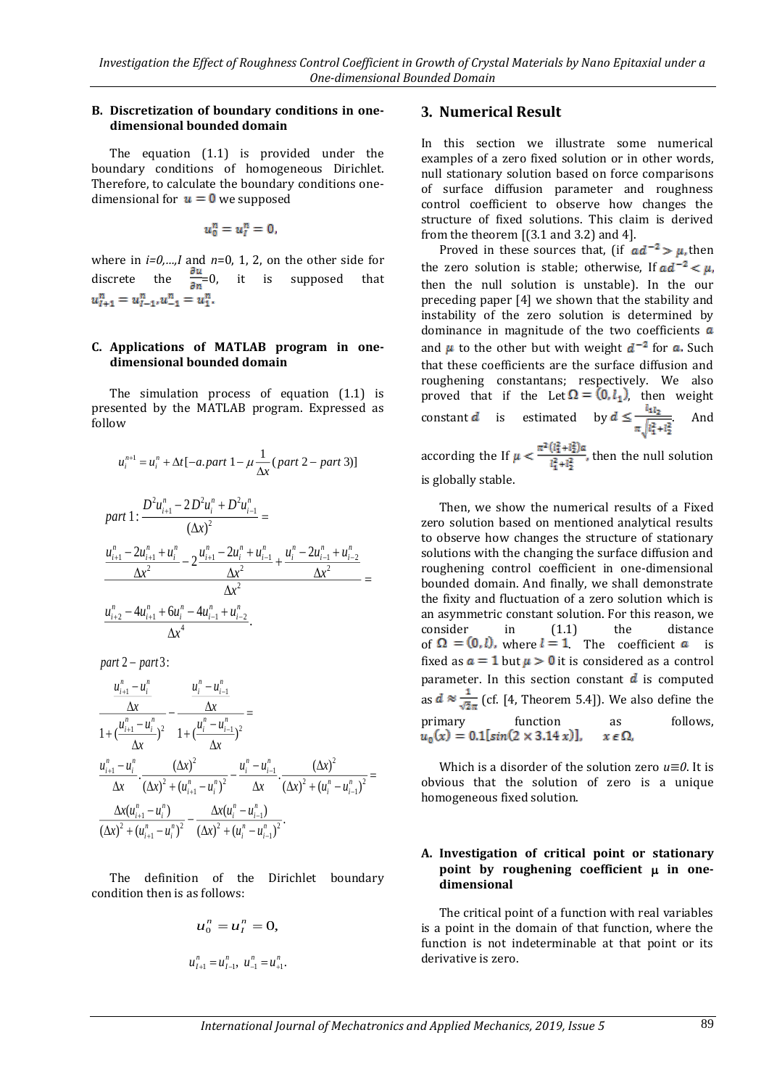#### **B. Discretization of boundary conditions in onedimensional bounded domain**

The equation (1.1) is provided under the boundary conditions of homogeneous Dirichlet. Therefore, to calculate the boundary conditions onedimensional for  $u = 0$  we supposed

$$
u_0^n=u_l^n=0,
$$

where in *i=0,…,I* and *n*=0, 1, 2, on the other side for discrete the  $\frac{\partial u}{\partial n} = 0$ , it is supposed that  $u_{l+1}^n = u_{l-1}^n, u_{-1}^n = u_1^n.$ 

#### **C. Applications of MATLAB program in onedimensional bounded domain**

The simulation process of equation (1.1) is presented by the MATLAB program. Expressed as follow

$$
u_i^{n+1} = u_i^n + \Delta t \left[ -a, part \ 1 - \mu \frac{1}{\Delta x} (part \ 2 - part \ 3) \right]
$$
  
part 
$$
1: \frac{D^2 u_{i+1}^n - 2D^2 u_i^n + D^2 u_{i-1}^n}{(\Delta x)^2} =
$$

$$
\frac{u_{i+1}^n - 2u_{i+1}^n + u_i^n}{\Delta x^2} - 2 \frac{u_{i+1}^n - 2u_i^n + u_{i-1}^n}{\Delta x^2} + \frac{u_i^n - 2u_{i-1}^n + u_{i-2}^n}{\Delta x^2} =
$$

$$
\frac{u_{i+2}^n - 4u_{i+1}^n + 6u_i^n - 4u_{i-1}^n + u_{i-2}^n}{\Delta x^4}.
$$

*part* 2 – *part* 3:

$$
\frac{u_{i+1}^n - u_i^n}{\Delta x} - \frac{u_i^n - u_{i-1}^n}{\Delta x} =
$$
\n
$$
\frac{1 + (u_{i+1}^n - u_{i-1}^n)^2}{\Delta x} - \frac{1 + (u_i^n - u_{i-1}^n)^2}{\Delta x} =
$$
\n
$$
\frac{u_{i+1}^n - u_i^n}{\Delta x} \cdot \frac{(\Delta x)^2 + (u_{i+1}^n - u_i^n)^2}{\Delta x} - \frac{u_i^n - u_{i-1}^n}{\Delta x} \cdot \frac{(\Delta x)^2 + (u_i^n - u_{i-1}^n)^2}{(\Delta x)^2 + (u_i^n - u_{i-1}^n)^2} =
$$
\n
$$
\frac{\Delta x (u_{i+1}^n - u_i^n)}{(\Delta x)^2 + (u_{i+1}^n - u_i^n)^2} - \frac{\Delta x (u_i^n - u_{i-1}^n)}{(\Delta x)^2 + (u_i^n - u_{i-1}^n)^2}.
$$

The definition of the Dirichlet boundary condition then is as follows:

$$
u_0^n = u_I^n = 0,
$$
  

$$
u_{I+1}^n = u_{I-1}^n, u_{-1}^n = u_{+1}^n.
$$

# **3. Numerical Result**

In this section we illustrate some numerical examples of a zero fixed solution or in other words, null stationary solution based on force comparisons of surface diffusion parameter and roughness control coefficient to observe how changes the structure of fixed solutions. This claim is derived from the theorem [(3.1 and 3.2) and 4].

Proved in these sources that, (if  $ad^{-2} > \mu$ , then the zero solution is stable; otherwise, If  $ad^{-2} < \mu$ , then the null solution is unstable). In the our preceding paper [4] we shown that the stability and instability of the zero solution is determined by dominance in magnitude of the two coefficients  $a$ and  $\mu$  to the other but with weight  $d^{-2}$  for a. Such that these coefficients are the surface diffusion and roughening constantans; respectively. We also proved that if the Let  $\Omega = (0, l_1)$ , then weight constant *d* is estimated by  $d \le \frac{l_{1l_2}}{\pi \sqrt{l_1^2 + l_2^2}}$ . according the If  $\mu<\frac{\pi^2\left(l_1^2+l_2^2\right)\alpha}{l_1^2+l_2^2},$  then the null solution

is globally stable.

Then, we show the numerical results of a Fixed zero solution based on mentioned analytical results to observe how changes the structure of stationary solutions with the changing the surface diffusion and roughening control coefficient in one-dimensional bounded domain. And finally, we shall demonstrate the fixity and fluctuation of a zero solution which is an asymmetric constant solution. For this reason, we consider in (1.1) the distance of  $\Omega = (0, l)$ , where  $l = 1$  The coefficient a is fixed as  $a = 1$  but  $\mu > 0$  it is considered as a control parameter. In this section constant  $\bf{d}$  is computed as  $d \approx \frac{1}{\sqrt{2}}$  (cf. [4, Theorem 5.4]). We also define the primary function as follows.  $u_0(x) = 0.1[\sin(2 \times 3.14 x)],$  $x \in \Omega$ .

Which is a disorder of the solution zero *u≡0*. It is obvious that the solution of zero is a unique homogeneous fixed solution.

#### **A. Investigation of critical point or stationary point by roughening coefficient in onedimensional**

The critical point of a function with real variables is a point in the domain of that function, where the function is not indeterminable at that point or its derivative is zero.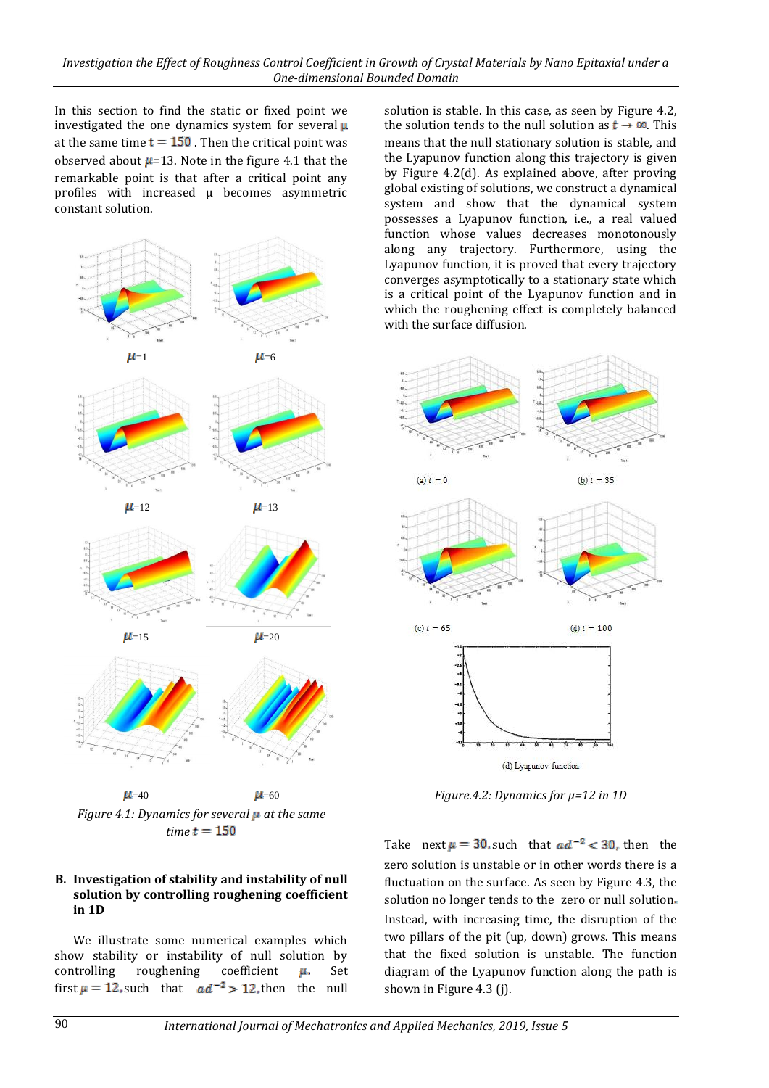In this section to find the static or fixed point we investigated the one dynamics system for several  $\mu$ at the same time  $t = 150$ . Then the critical point was observed about  $\mu$ =13. Note in the figure 4.1 that the remarkable point is that after a critical point any profiles with increased μ becomes asymmetric constant solution.



*Figure 4.1: Dynamics for several at the same*   $time t = 150$ 

### **B. Investigation of stability and instability of null solution by controlling roughening coefficient in 1D**

We illustrate some numerical examples which show stability or instability of null solution by controlling roughening coefficient  $\mu$ . Set first  $\mu = 12$ , such that  $ad^{-2} > 12$ , then the null

solution is stable. In this case, as seen by Figure 4.2, the solution tends to the null solution as  $t \to \infty$  This means that the null stationary solution is stable, and the Lyapunov function along this trajectory is given by Figure 4.2(d). As explained above, after proving global existing of solutions, we construct a dynamical system and show that the dynamical system possesses a Lyapunov function, i.e., a real valued function whose values decreases monotonously along any trajectory. Furthermore, using the Lyapunov function, it is proved that every trajectory converges asymptotically to a stationary state which is a critical point of the Lyapunov function and in which the roughening effect is completely balanced with the surface diffusion.



*Figure.4.2: Dynamics for μ=12 in 1D*

Take next  $\mu = 30$ , such that  $ad^{-2} < 30$ , then the zero solution is unstable or in other words there is a fluctuation on the surface. As seen by Figure 4.3, the solution no longer tends to the zero or null solution. Instead, with increasing time, the disruption of the two pillars of the pit (up, down) grows. This means that the fixed solution is unstable. The function diagram of the Lyapunov function along the path is shown in Figure 4.3 (j).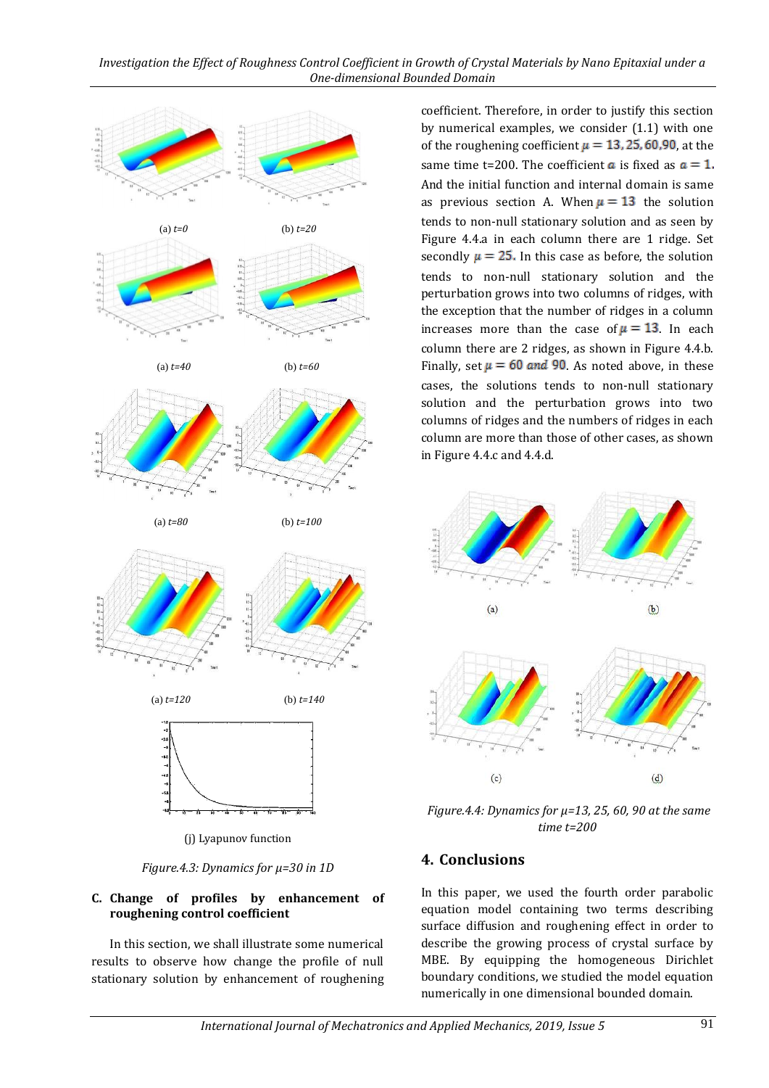

*Figure.4.3: Dynamics for μ=30 in 1D*

### **C. Change of profiles by enhancement of roughening control coefficient**

In this section, we shall illustrate some numerical results to observe how change the profile of null stationary solution by enhancement of roughening coefficient. Therefore, in order to justify this section by numerical examples, we consider (1.1) with one of the roughening coefficient  $\mu = 13, 25, 60, 90$ , at the same time t=200. The coefficient **a** is fixed as  $a = 1$ . And the initial function and internal domain is same as previous section A. When  $\mu = 13$  the solution tends to non-null stationary solution and as seen by Figure 4.4.a in each column there are 1 ridge. Set secondly  $\mu = 25$ . In this case as before, the solution tends to non-null stationary solution and the perturbation grows into two columns of ridges, with the exception that the number of ridges in a column increases more than the case of  $\mu = 13$ . In each column there are 2 ridges, as shown in Figure 4.4.b. Finally, set  $\mu = 60$  and 90. As noted above, in these cases, the solutions tends to non-null stationary solution and the perturbation grows into two columns of ridges and the numbers of ridges in each column are more than those of other cases, as shown in Figure 4.4.c and 4.4.d.



*Figure.4.4: Dynamics for μ=13, 25, 60, 90 at the same time t=200*

# **4. Conclusions**

In this paper, we used the fourth order parabolic equation model containing two terms describing surface diffusion and roughening effect in order to describe the growing process of crystal surface by MBE. By equipping the homogeneous Dirichlet boundary conditions, we studied the model equation numerically in one dimensional bounded domain.